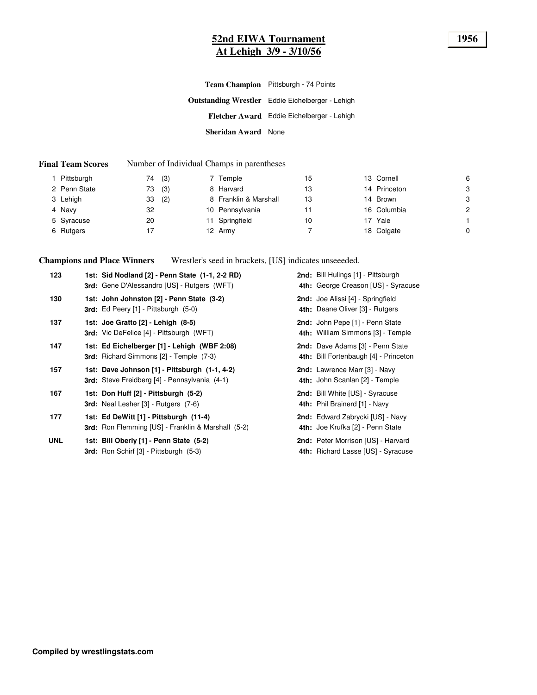## **52nd EIWA Tournament 1956 At Lehigh 3/9 - 3/10/56**

|                     | Team Champion Pittsburgh - 74 Points                    |
|---------------------|---------------------------------------------------------|
|                     | <b>Outstanding Wrestler</b> Eddie Eichelberger - Lehigh |
|                     | Fletcher Award Eddie Eichelberger - Lehigh              |
| Sheridan Award None |                                                         |

#### **Final Team Scores** Number of Individual Champs in parentheses

| Pittsburgh   | 74 | (3) | 7 Temple              | 15 | 13 Cornell   | 6              |
|--------------|----|-----|-----------------------|----|--------------|----------------|
| 2 Penn State | 73 | (3) | 8 Harvard             | 13 | 14 Princeton | 3              |
| 3 Lehigh     | 33 | (2) | 8 Franklin & Marshall | 13 | 14 Brown     | 3              |
| 4 Navy       | 32 |     | 10 Pennsylvania       | 11 | 16 Columbia  | $\overline{c}$ |
| 5 Syracuse   | 20 |     | 11 Springfield        | 10 | 17 Yale      |                |
| 6 Rutgers    | 17 |     | 12 Army               |    | 18 Colgate   | 0              |

**Champions and Place Winners** Wrestler's seed in brackets, [US] indicates unseeeded.

| 123        | 1st: Sid Nodland [2] - Penn State (1-1, 2-2 RD)<br><b>3rd:</b> Gene D'Alessandro [US] - Rutgers (WFT) | 2nd: Bill Hulings [1] - Pittsburgh<br>4th: George Creason [US] - Syracuse |
|------------|-------------------------------------------------------------------------------------------------------|---------------------------------------------------------------------------|
| 130        | 1st: John Johnston [2] - Penn State (3-2)<br>3rd: Ed Peery [1] - Pittsburgh (5-0)                     | 2nd: Joe Alissi [4] - Springfield<br>4th: Deane Oliver [3] - Rutgers      |
| 137        | 1st: Joe Gratto [2] - Lehigh (8-5)<br><b>3rd:</b> Vic DeFelice [4] - Pittsburgh (WFT)                 | 2nd: John Pepe [1] - Penn State<br>4th: William Simmons [3] - Temple      |
| 147        | 1st: Ed Eichelberger [1] - Lehigh (WBF 2:08)<br><b>3rd:</b> Richard Simmons [2] - Temple (7-3)        | 2nd: Dave Adams [3] - Penn State<br>4th: Bill Fortenbaugh [4] - Princeton |
| 157        | 1st: Dave Johnson [1] - Pittsburgh (1-1, 4-2)<br>3rd: Steve Freidberg [4] - Pennsylvania (4-1)        | 2nd: Lawrence Marr [3] - Navy<br>4th: John Scanlan [2] - Temple           |
| 167        | 1st: Don Huff [2] - Pittsburgh (5-2)<br><b>3rd:</b> Neal Lesher [3] - Rutgers (7-6)                   | 2nd: Bill White [US] - Syracuse<br>4th: Phil Brainerd [1] - Navy          |
| 177        | 1st: Ed DeWitt [1] - Pittsburgh (11-4)<br><b>3rd:</b> Ron Flemming [US] - Franklin & Marshall (5-2)   | 2nd: Edward Zabrycki [US] - Navy<br>4th: Joe Krufka [2] - Penn State      |
| <b>UNL</b> | 1st: Bill Oberly [1] - Penn State (5-2)<br><b>3rd:</b> Ron Schirf [3] - Pittsburgh (5-3)              | 2nd: Peter Morrison [US] - Harvard<br>4th: Richard Lasse [US] - Syracuse  |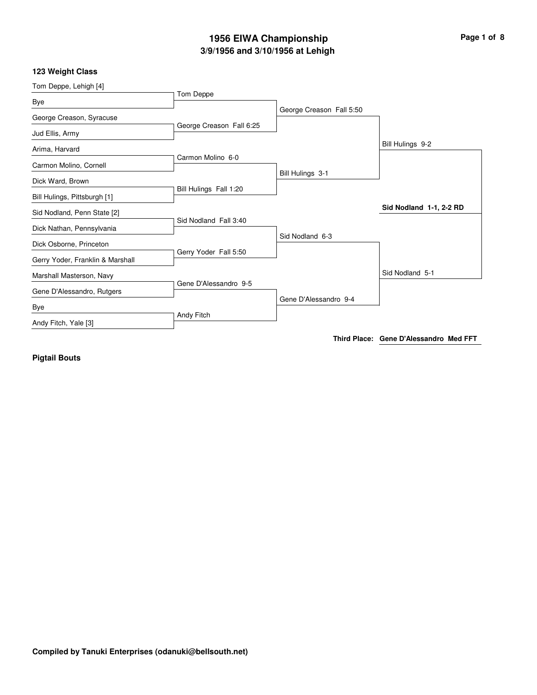# **3/9/1956 and 3/10/1956 at Lehigh 1956 EIWA Championship Page 1 of 8**

#### **123 Weight Class**

| Tom Deppe, Lehigh [4]            |                          |                          |                         |
|----------------------------------|--------------------------|--------------------------|-------------------------|
|                                  | Tom Deppe                |                          |                         |
| Bye                              |                          | George Creason Fall 5:50 |                         |
| George Creason, Syracuse         |                          |                          |                         |
| Jud Ellis, Army                  | George Creason Fall 6:25 |                          |                         |
| Arima, Harvard                   |                          |                          | Bill Hulings 9-2        |
| Carmon Molino, Cornell           | Carmon Molino 6-0        |                          |                         |
|                                  |                          | Bill Hulings 3-1         |                         |
| Dick Ward, Brown                 | Bill Hulings Fall 1:20   |                          |                         |
| Bill Hulings, Pittsburgh [1]     |                          |                          |                         |
| Sid Nodland, Penn State [2]      |                          |                          | Sid Nodland 1-1, 2-2 RD |
| Dick Nathan, Pennsylvania        | Sid Nodland Fall 3:40    |                          |                         |
|                                  |                          | Sid Nodland 6-3          |                         |
| Dick Osborne, Princeton          | Gerry Yoder Fall 5:50    |                          |                         |
| Gerry Yoder, Franklin & Marshall |                          |                          |                         |
| Marshall Masterson, Navy         |                          |                          | Sid Nodland 5-1         |
| Gene D'Alessandro, Rutgers       | Gene D'Alessandro 9-5    |                          |                         |
| Bye                              |                          | Gene D'Alessandro 9-4    |                         |
|                                  | Andy Fitch               |                          |                         |
| Andy Fitch, Yale [3]             |                          |                          |                         |
|                                  |                          |                          |                         |

**Third Place: Gene D'Alessandro Med FFT**

**Pigtail Bouts**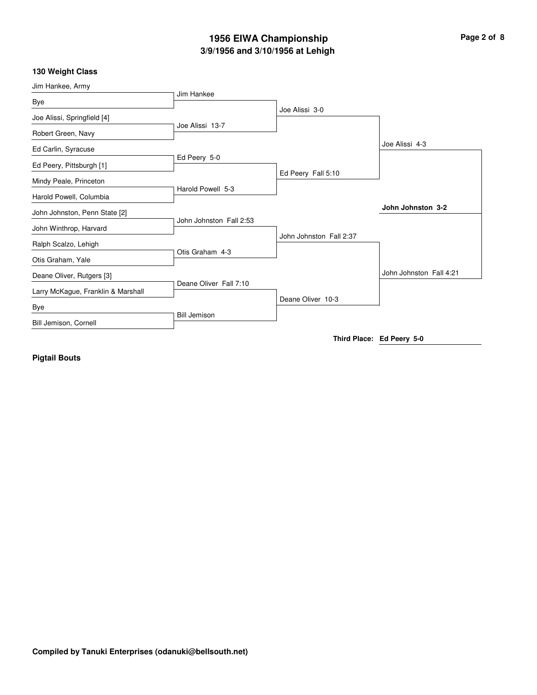## **3/9/1956 and 3/10/1956 at Lehigh 1956 EIWA Championship Page 2 of 8**

## **130 Weight Class**

| Jim Hankee, Army                   |                         |                         |                           |
|------------------------------------|-------------------------|-------------------------|---------------------------|
| Bye                                | Jim Hankee              |                         |                           |
| Joe Alissi, Springfield [4]        |                         | Joe Alissi 3-0          |                           |
| Robert Green, Navy                 | Joe Alissi 13-7         |                         |                           |
| Ed Carlin, Syracuse                |                         |                         | Joe Alissi 4-3            |
| Ed Peery, Pittsburgh [1]           | Ed Peery 5-0            |                         |                           |
| Mindy Peale, Princeton             |                         | Ed Peery Fall 5:10      |                           |
| Harold Powell, Columbia            | Harold Powell 5-3       |                         |                           |
| John Johnston, Penn State [2]      |                         |                         | John Johnston 3-2         |
| John Winthrop, Harvard             | John Johnston Fall 2:53 |                         |                           |
| Ralph Scalzo, Lehigh               | Otis Graham 4-3         | John Johnston Fall 2:37 |                           |
| Otis Graham, Yale                  |                         |                         |                           |
| Deane Oliver, Rutgers [3]          | Deane Oliver Fall 7:10  |                         | John Johnston Fall 4:21   |
| Larry McKague, Franklin & Marshall |                         | Deane Oliver 10-3       |                           |
| Bye                                |                         |                         |                           |
| Bill Jemison, Cornell              | <b>Bill Jemison</b>     |                         |                           |
|                                    |                         |                         | Third Place: Ed Peery 5-0 |

**Pigtail Bouts**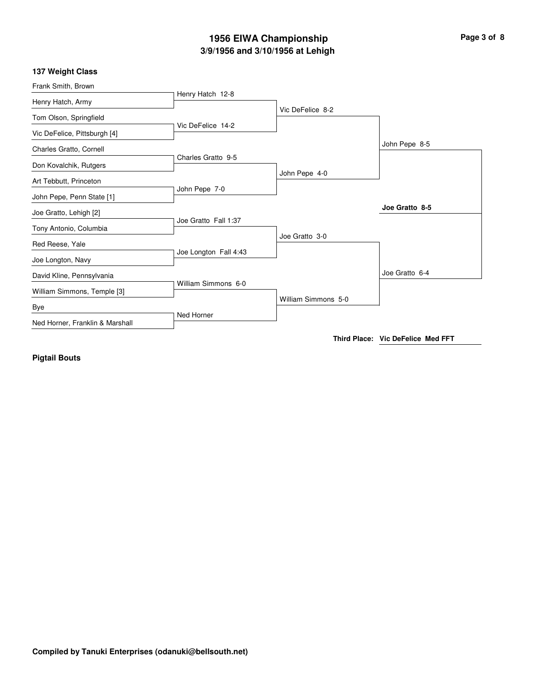## **3/9/1956 and 3/10/1956 at Lehigh 1956 EIWA Championship Page 3 of 8**

#### **137 Weight Class**

| Frank Smith, Brown              |                       |                     |                |
|---------------------------------|-----------------------|---------------------|----------------|
| Henry Hatch, Army               | Henry Hatch 12-8      |                     |                |
| Tom Olson, Springfield          |                       | Vic DeFelice 8-2    |                |
| Vic DeFelice, Pittsburgh [4]    | Vic DeFelice 14-2     |                     |                |
| Charles Gratto, Cornell         | Charles Gratto 9-5    |                     | John Pepe 8-5  |
| Don Kovalchik, Rutgers          |                       | John Pepe 4-0       |                |
| Art Tebbutt, Princeton          |                       |                     |                |
| John Pepe, Penn State [1]       | John Pepe 7-0         |                     |                |
| Joe Gratto, Lehigh [2]          | Joe Gratto Fall 1:37  |                     | Joe Gratto 8-5 |
| Tony Antonio, Columbia          |                       |                     |                |
| Red Reese, Yale                 |                       | Joe Gratto 3-0      |                |
| Joe Longton, Navy               | Joe Longton Fall 4:43 |                     |                |
| David Kline, Pennsylvania       |                       |                     | Joe Gratto 6-4 |
| William Simmons, Temple [3]     | William Simmons 6-0   | William Simmons 5-0 |                |
| Bye                             | Ned Horner            |                     |                |
| Ned Horner, Franklin & Marshall |                       |                     |                |

**Third Place: Vic DeFelice Med FFT**

**Pigtail Bouts**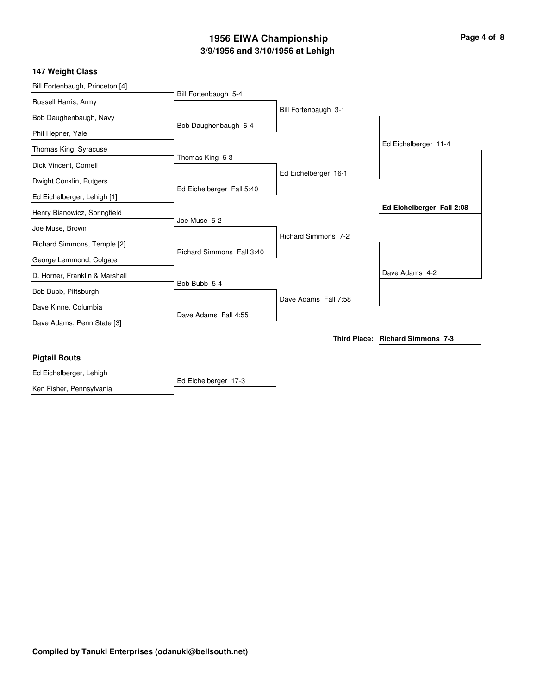# **3/9/1956 and 3/10/1956 at Lehigh 1956 EIWA Championship Page 4 of 8**

## **147 Weight Class**

| Ed Eichelberger, Lehigh         |                           |                            |                                  |
|---------------------------------|---------------------------|----------------------------|----------------------------------|
| <b>Pigtail Bouts</b>            |                           |                            |                                  |
|                                 |                           |                            | Third Place: Richard Simmons 7-3 |
| Dave Adams, Penn State [3]      |                           |                            |                                  |
| Dave Kinne, Columbia            | Dave Adams Fall 4:55      |                            |                                  |
| Bob Bubb, Pittsburgh            |                           | Dave Adams Fall 7:58       |                                  |
| D. Horner, Franklin & Marshall  | Bob Bubb 5-4              |                            | Dave Adams 4-2                   |
| George Lemmond, Colgate         |                           |                            |                                  |
| Richard Simmons, Temple [2]     | Richard Simmons Fall 3:40 |                            |                                  |
| Joe Muse, Brown                 |                           | <b>Richard Simmons 7-2</b> |                                  |
| Henry Bianowicz, Springfield    | Joe Muse 5-2              |                            |                                  |
| Ed Eichelberger, Lehigh [1]     |                           |                            | Ed Eichelberger Fall 2:08        |
|                                 | Ed Eichelberger Fall 5:40 |                            |                                  |
| Dwight Conklin, Rutgers         |                           | Ed Eichelberger 16-1       |                                  |
| Dick Vincent, Cornell           | Thomas King 5-3           |                            |                                  |
| Thomas King, Syracuse           |                           |                            | Ed Eichelberger 11-4             |
| Phil Hepner, Yale               | Bob Daughenbaugh 6-4      |                            |                                  |
| Bob Daughenbaugh, Navy          |                           |                            |                                  |
| Russell Harris, Army            |                           | Bill Fortenbaugh 3-1       |                                  |
| Bill Fortenbaugh, Princeton [4] | Bill Fortenbaugh 5-4      |                            |                                  |

Ed Eichelberger 17-3 Ken Fisher, Pennsylvania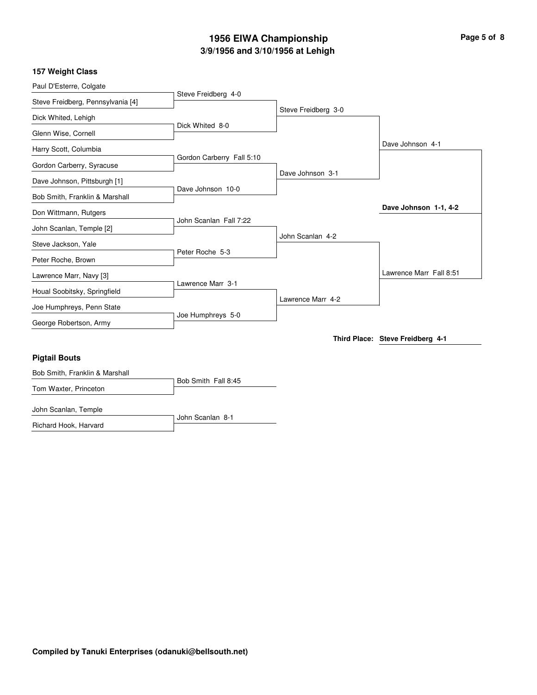# **3/9/1956 and 3/10/1956 at Lehigh 1956 EIWA Championship Page 5 of 8**

| Paul D'Esterre, Colgate           |                           |                     |                                  |
|-----------------------------------|---------------------------|---------------------|----------------------------------|
| Steve Freidberg, Pennsylvania [4] | Steve Freidberg 4-0       |                     |                                  |
| Dick Whited, Lehigh               |                           | Steve Freidberg 3-0 |                                  |
| Glenn Wise, Cornell               | Dick Whited 8-0           |                     |                                  |
| Harry Scott, Columbia             |                           |                     | Dave Johnson 4-1                 |
| Gordon Carberry, Syracuse         | Gordon Carberry Fall 5:10 |                     |                                  |
| Dave Johnson, Pittsburgh [1]      |                           | Dave Johnson 3-1    |                                  |
| Bob Smith, Franklin & Marshall    | Dave Johnson 10-0         |                     |                                  |
| Don Wittmann, Rutgers             |                           |                     | Dave Johnson 1-1, 4-2            |
| John Scanlan, Temple [2]          | John Scanlan Fall 7:22    |                     |                                  |
| Steve Jackson, Yale               |                           | John Scanlan 4-2    |                                  |
| Peter Roche, Brown                | Peter Roche 5-3           |                     |                                  |
| Lawrence Marr, Navy [3]           |                           |                     | Lawrence Marr Fall 8:51          |
| Houal Soobitsky, Springfield      | Lawrence Marr 3-1         |                     |                                  |
| Joe Humphreys, Penn State         |                           | Lawrence Marr 4-2   |                                  |
| George Robertson, Army            | Joe Humphreys 5-0         |                     |                                  |
|                                   |                           |                     | Third Place: Steve Freidberg 4-1 |
| <b>Pigtail Bouts</b>              |                           |                     |                                  |
| Bob Smith, Franklin & Marshall    |                           |                     |                                  |
| Tom Waxter, Princeton             | Bob Smith Fall 8:45       |                     |                                  |

John Scanlan 8-1 John Scanlan, Temple Richard Hook, Harvard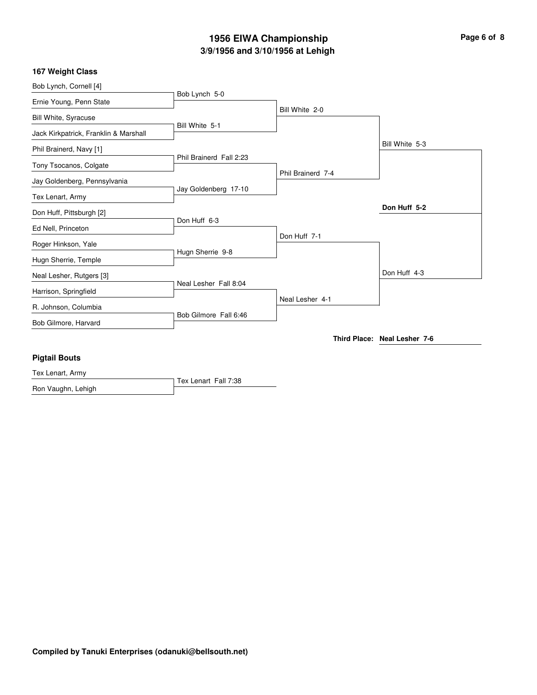## **3/9/1956 and 3/10/1956 at Lehigh 1956 EIWA Championship Page 6 of 8**

## **167 Weight Class**

| Bob Lynch, Cornell [4]                |                         |                   |                              |
|---------------------------------------|-------------------------|-------------------|------------------------------|
| Ernie Young, Penn State               | Bob Lynch 5-0           |                   |                              |
| <b>Bill White, Syracuse</b>           |                         | Bill White 2-0    |                              |
| Jack Kirkpatrick, Franklin & Marshall | Bill White 5-1          |                   |                              |
| Phil Brainerd, Navy [1]               |                         |                   | Bill White 5-3               |
| Tony Tsocanos, Colgate                | Phil Brainerd Fall 2:23 |                   |                              |
| Jay Goldenberg, Pennsylvania          |                         | Phil Brainerd 7-4 |                              |
| Tex Lenart, Army                      | Jay Goldenberg 17-10    |                   |                              |
| Don Huff, Pittsburgh [2]              |                         |                   | Don Huff 5-2                 |
| Ed Nell, Princeton                    | Don Huff 6-3            |                   |                              |
| Roger Hinkson, Yale                   |                         | Don Huff 7-1      |                              |
| Hugn Sherrie, Temple                  | Hugn Sherrie 9-8        |                   |                              |
| Neal Lesher, Rutgers [3]              |                         |                   | Don Huff 4-3                 |
| Harrison, Springfield                 | Neal Lesher Fall 8:04   |                   |                              |
| R. Johnson, Columbia                  |                         | Neal Lesher 4-1   |                              |
| Bob Gilmore, Harvard                  | Bob Gilmore Fall 6:46   |                   |                              |
|                                       |                         |                   | Third Place: Neal Lesher 7-6 |
| <b>Pigtail Bouts</b>                  |                         |                   |                              |
| Tex Lenart, Army                      |                         |                   |                              |
|                                       | Tex Lenart Fall 7:38    |                   |                              |

Ron Vaughn, Lehigh

**Compiled by Tanuki Enterprises (odanuki@bellsouth.net)**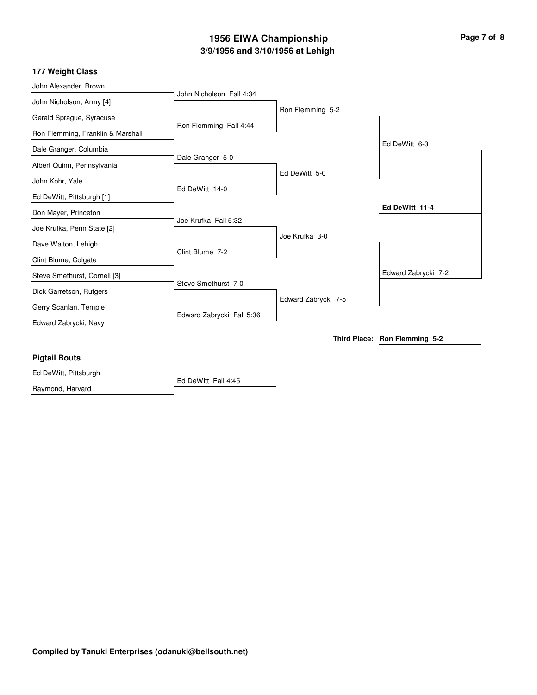# **3/9/1956 and 3/10/1956 at Lehigh 1956 EIWA Championship Page 7 of 8**

#### **177 Weight Class**

| John Alexander, Brown             |                           |                     |                               |
|-----------------------------------|---------------------------|---------------------|-------------------------------|
| John Nicholson, Army [4]          | John Nicholson Fall 4:34  |                     |                               |
| Gerald Sprague, Syracuse          |                           | Ron Flemming 5-2    |                               |
| Ron Flemming, Franklin & Marshall | Ron Flemming Fall 4:44    |                     |                               |
| Dale Granger, Columbia            |                           |                     | Ed DeWitt 6-3                 |
| Albert Quinn, Pennsylvania        | Dale Granger 5-0          |                     |                               |
|                                   |                           | Ed DeWitt 5-0       |                               |
| John Kohr, Yale                   | Ed DeWitt 14-0            |                     |                               |
| Ed DeWitt, Pittsburgh [1]         |                           |                     |                               |
| Don Mayer, Princeton              |                           |                     | Ed DeWitt 11-4                |
| Joe Krufka, Penn State [2]        | Joe Krufka Fall 5:32      |                     |                               |
| Dave Walton, Lehigh               |                           | Joe Krufka 3-0      |                               |
| Clint Blume, Colgate              | Clint Blume 7-2           |                     |                               |
| Steve Smethurst, Cornell [3]      |                           |                     | Edward Zabrycki 7-2           |
| Dick Garretson, Rutgers           | Steve Smethurst 7-0       |                     |                               |
| Gerry Scanlan, Temple             |                           | Edward Zabrycki 7-5 |                               |
| Edward Zabrycki, Navy             | Edward Zabrycki Fall 5:36 |                     |                               |
|                                   |                           |                     | Third Place: Ron Flemming 5-2 |
| <b>Pigtail Bouts</b>              |                           |                     |                               |

Ed DeWitt Fall 4:45 Ed DeWitt, Pittsburgh Raymond, Harvard